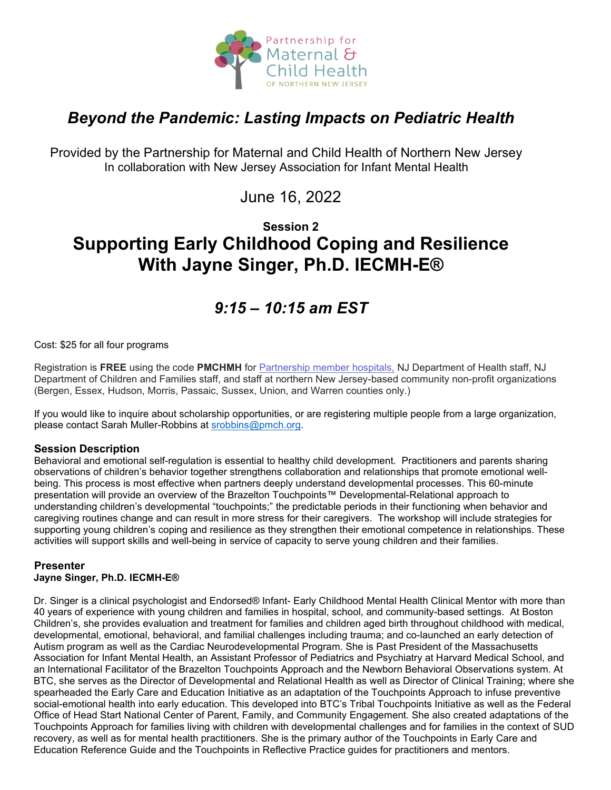

# *Beyond the Pandemic: Lasting Impacts on Pediatric Health*

Provided by the Partnership for Maternal and Child Health of Northern New Jersey In collaboration with New Jersey Association for Infant Mental Health

June 16, 2022

# **Session 2 Supporting Early Childhood Coping and Resilience With Jayne Singer, Ph.D. IECMH-E®**

# *9:15 – 10:15 am EST*

## Cost: \$25 for all four programs

Registration is **FREE** using the code **PMCHMH** for Partnership [member hospitals,](https://www.partnershipmch.org/about-us/member-hospitals/) NJ Department of Health staff, NJ Department of Children and Families staff, and staff at northern New Jersey-based community non-profit organizations (Bergen, Essex, Hudson, Morris, Passaic, Sussex, Union, and Warren counties only.)

If you would like to inquire about scholarship opportunities, or are registering multiple people from a large organization, please contact Sarah Muller-Robbins at [srobbins@pmch.org.](mailto:srobbins@pmch.org)

## **Session Description**

Behavioral and emotional self-regulation is essential to healthy child development. Practitioners and parents sharing observations of children's behavior together strengthens collaboration and relationships that promote emotional wellbeing. This process is most effective when partners deeply understand developmental processes. This 60-minute presentation will provide an overview of the Brazelton Touchpoints™ Developmental-Relational approach to understanding children's developmental "touchpoints;" the predictable periods in their functioning when behavior and caregiving routines change and can result in more stress for their caregivers. The workshop will include strategies for supporting young children's coping and resilience as they strengthen their emotional competence in relationships. These activities will support skills and well-being in service of capacity to serve young children and their families.

# **Presenter**

## **Jayne Singer, Ph.D. IECMH-E®**

Dr. Singer is a clinical psychologist and Endorsed® Infant- Early Childhood Mental Health Clinical Mentor with more than 40 years of experience with young children and families in hospital, school, and community-based settings. At Boston Children's, she provides evaluation and treatment for families and children aged birth throughout childhood with medical, developmental, emotional, behavioral, and familial challenges including trauma; and co-launched an early detection of Autism program as well as the Cardiac Neurodevelopmental Program. She is Past President of the Massachusetts Association for Infant Mental Health, an Assistant Professor of Pediatrics and Psychiatry at Harvard Medical School, and an International Facilitator of the Brazelton Touchpoints Approach and the Newborn Behavioral Observations system. At BTC, she serves as the Director of Developmental and Relational Health as well as Director of Clinical Training; where she spearheaded the Early Care and Education Initiative as an adaptation of the Touchpoints Approach to infuse preventive social-emotional health into early education. This developed into BTC's Tribal Touchpoints Initiative as well as the Federal Office of Head Start National Center of Parent, Family, and Community Engagement. She also created adaptations of the Touchpoints Approach for families living with children with developmental challenges and for families in the context of SUD recovery, as well as for mental health practitioners. She is the primary author of the Touchpoints in Early Care and Education Reference Guide and the Touchpoints in Reflective Practice guides for practitioners and mentors.